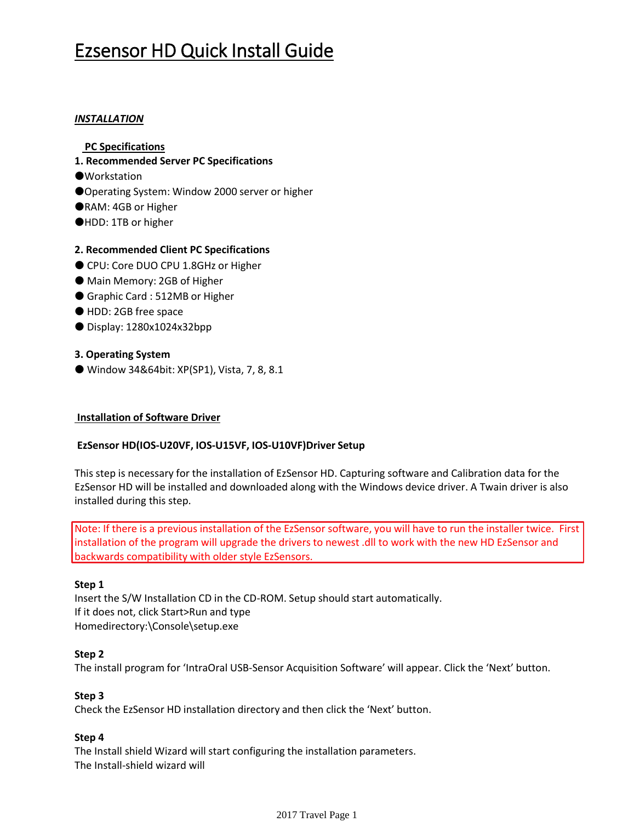# Ezsensor HD Quick Install Guide

# *INSTALLATION*

- **PC Specifications**
- **1. Recommended Server PC Specifications**
- ●**Workstation**
- ●Operating System: Window 2000 server or higher
- ●RAM: 4GB or Higher
- ●HDD: 1TB or higher

# **2. Recommended Client PC Specifications**

- CPU: Core DUO CPU 1.8GHz or Higher
- Main Memory: 2GB of Higher
- Graphic Card: 512MB or Higher
- HDD: 2GB free space
- Display: 1280x1024x32bpp

## **3. Operating System**

● Window 34&64bit: XP(SP1), Vista, 7, 8, 8.1

## **Installation of Software Driver**

## **EzSensor HD(IOS-U20VF, IOS-U15VF, IOS-U10VF)Driver Setup**

This step is necessary for the installation of EzSensor HD. Capturing software and Calibration data for the EzSensor HD will be installed and downloaded along with the Windows device driver. A Twain driver is also installed during this step.

Note: If there is a previous installation of the EzSensor software, you will have to run the installer twice. First installation of the program will upgrade the drivers to newest .dll to work with the new HD EzSensor and backwards compatibility with older style EzSensors.

## **Step 1**

Insert the S/W Installation CD in the CD-ROM. Setup should start automatically. If it does not, click Start>Run and type Homedirectory:\Console\setup.exe

## **Step 2**

The install program for 'IntraOral USB-Sensor Acquisition Software' will appear. Click the 'Next' button.

## **Step 3**

Check the EzSensor HD installation directory and then click the 'Next' button.

## **Step 4**

The Install shield Wizard will start configuring the installation parameters. The Install-shield wizard will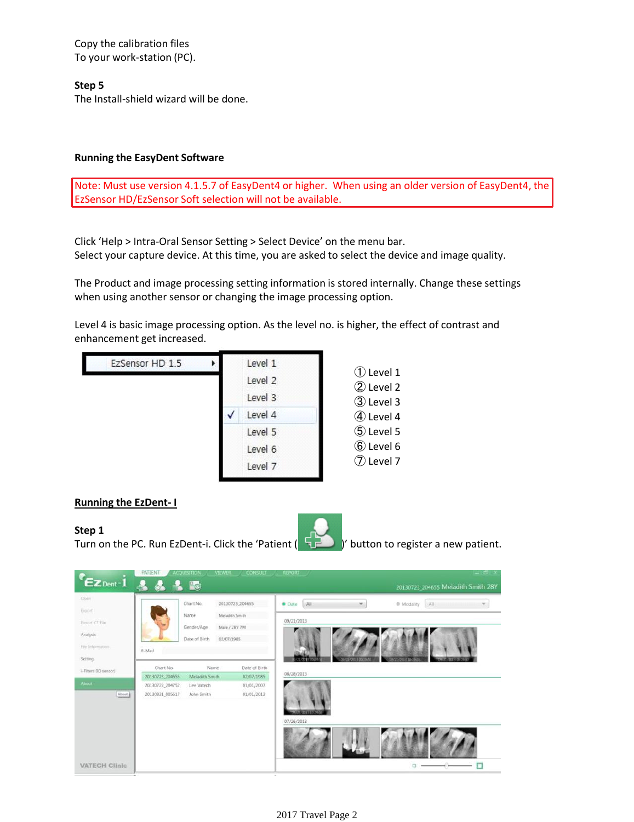Copy the calibration files To your work-station (PC).

## **Step 5**

The Install-shield wizard will be done.

#### **Running the EasyDent Software**

Note: Must use version 4.1.5.7 of EasyDent4 or higher. When using an older version of EasyDent4, the EzSensor HD/EzSensor Soft selection will not be available.

Click 'Help > Intra-Oral Sensor Setting > Select Device' on the menu bar. Select your capture device. At this time, you are asked to select the device and image quality.

The Product and image processing setting information is stored internally. Change these settings when using another sensor or changing the image processing option.

Level 4 is basic image processing option. As the level no. is higher, the effect of contrast and enhancement get increased.



## **Running the EzDent- I**

**Step 1** Turn on the PC. Run EzDent-i. Click the 'Patient ( $\Box$ )' button to register a new patient.